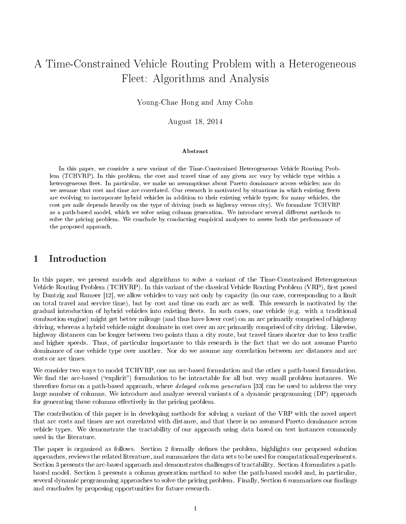# A Time-Constrained Vehicle Routing Problem with a Heterogeneous Fleet: Algorithms and Analysis

Young-Chae Hong and Amy Cohn

August 18, 2014

#### Abstract

In this paper, we consider a new variant of the Time-Constrained Heterogeneous Vehicle Routing Problem (TCHVRP). In this problem, the cost and travel time of any given arc vary by vehicle type within a heterogeneous fleet. In particular, we make no assumptions about Pareto dominance across vehicles; nor do we assume that cost and time are correlated. Our research is motivated by situations in which existing fleets are evolving to incorporate hybrid vehicles in addition to their existing vehicle types; for many vehicles, the cost per mile depends heavily on the type of driving (such as highway versus city). We formulate TCHVRP as a path-based model, which we solve using column generation. We introduce several different methods to solve the pricing problem. We conclude by conducting empirical analyses to assess both the performance of the proposed approach.

### 1 Introduction

In this paper, we present models and algorithms to solve a variant of the Time-Constrained Heterogeneous Vehicle Routing Problem (TCHVRP). In this variant of the classical Vehicle Routing Problem (VRP), first posed by Dantzig and Ramser [12], we allow vehicles to vary not only by capacity (in our case, corresponding to a limit on total travel and service time), but by cost and time on each arc as well. This research is motivated by the gradual introduction of hybrid vehicles into existing fleets. In such cases, one vehicle (e.g. with a traditional combustion engine) might get better mileage (and thus have lower cost) on an arc primarily comprised of highway driving, whereas a hybrid vehicle might dominate in cost over an arc primarily comprised of city driving. Likewise, highway distances can be longer between two points than a city route, but travel times shorter due to less traffic and higher speeds. Thus, of particular importance to this research is the fact that we do not assume Pareto dominance of one vehicle type over another. Nor do we assume any correlation between arc distances and arc costs or arc times.

We consider two ways to model TCHVRP, one an arc-based formulation and the other a path-based formulation. We find the arc-based ("explicit") formulation to be intractable for all but very small problem instances. We therefore focus on a path-based approach, where *delayed column generation* [33] can be used to address the very large number of columns. We introduce and analyze several variants of a dynamic programming (DP) approach for generating these columns effectively in the pricing problem.

The contribution of this paper is in developing methods for solving a variant of the VRP with the novel aspect that arc costs and times are not correlated with distance, and that there is no assumed Pareto dominance across vehicle types. We demonstrate the tractability of our approach using data based on test instances commonly used in the literature.

The paper is organized as follows. Section 2 formally defines the problem, highlights our proposed solution approaches, reviews the related literature, and summarizes the data sets to be used for computational experiments. Section 3 presents the arc-based approach and demonstrates challenges of tractability. Section 4 formulates a pathbased model. Section 5 presents a column generation method to solve the path-based model and, in particular, several dynamic programming approaches to solve the pricing problem. Finally, Section 6 summarizes our findings and concludes by proposing opportunities for future research.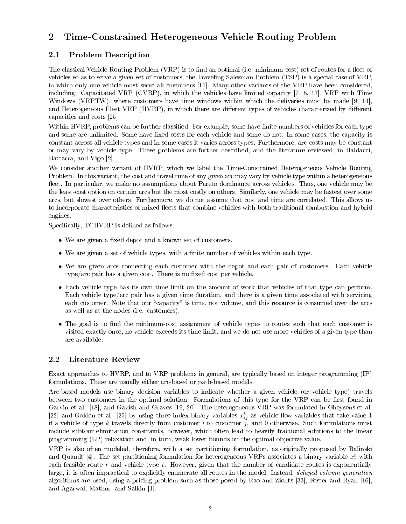# 2 Time-Constrained Heterogeneous Vehicle Routing Problem

# 2.1 Problem Description

The classical Vehicle Routing Problem (VRP) is to find an optimal (i.e. minimum-cost) set of routes for a fleet of vehicles so as to serve a given set of customers; the Traveling Salesman Problem (TSP) is a special case of VRP, in which only one vehicle must serve all customers [11]. Many other variants of the VRP have been considered, including: Capacitated VRP (CVRP), in which the vehicles have limited capacity [7, 8, 17], VRP with Time Windows (VRPTW), where customers have time windows within which the deliveries must be made [9, 14], and Heterogeneous Fleet VRP (HVRP), in which there are different types of vehicles characterized by different capacities and costs [25].

Within HVRP, problems can be further classified. For example, some have finite numbers of vehicles for each type and some are unlimited. Some have fixed costs for each vehicle and some do not. In some cases, the capacity is constant across all vehicle types and in some cases it varies across types. Furthermore, arc-costs may be constant or may vary by vehicle type. These problems are further described, and the literature reviewed, in Baldacci, Battarra, and Vigo [2].

We consider another variant of HVRP, which we label the Time-Constrained Heterogeneous Vehicle Routing Problem. In this variant, the cost and travel time of any given arc may vary by vehicle type within a heterogeneous fleet. In particular, we make no assumptions about Pareto dominance across vehicles. Thus, one vehicle may be the least-cost option on certain arcs but the most costly on others. Similarly, one vehicle may be fastest over some arcs, but slowest over others. Furthermore, we do not assume that cost and time are correlated. This allows us to incorporate characteristics of mixed fleets that combine vehicles with both traditional combustion and hybrid engines.

Specifically, TCHVRP is defined as follows:

- We are given a fixed depot and a known set of customers.
- We are given a set of vehicle types, with a finite number of vehicles within each type.
- We are given arcs connecting each customer with the depot and each pair of customers. Each vehicle  $type/arc$  pair has a given cost. There is no fixed cost per vehicle.
- Each vehicle type has its own time limit on the amount of work that vehicles of that type can perform. Each vehicle type/arc pair has a given time duration, and there is a given time associated with servicing each customer. Note that our "capacity" is time, not volume, and this resource is consumed over the arcs as well as at the nodes (i.e. customers).
- The goal is to find the minimum-cost assignment of vehicle types to routes such that each customer is visited exactly once, no vehicle exceeds its time limit, and we do not use more vehicles of a given type than are available.

## 2.2 Literature Review

Exact approaches to HVRP, and to VRP problems in general, are typically based on integer programming (IP) formulations. These are usually either arc-based or path-based models.

Arc-based models use binary decision variables to indicate whether a given vehicle (or vehicle type) travels between two customers in the optimal solution. Formulations of this type for the VRP can be first found in Garvin et al. [18], and Gavish and Graves [19, 20]. The heterogeneous VRP was formulated in Gheysens et al. [22] and Golden et al. [25] by using three-index binary variables  $x_{ij}^k$  as vehicle flow variables that take value 1 if a vehicle of type k travels directly from customer  $i$  to customer  $j$ , and 0 otherwise. Such formulations must include subtour elimination constraints, however, which often lead to heavily fractional solutions to the linear programming (LP) relaxation and, in turn, weak lower bounds on the optimal objective value.

VRP is also often modeled, therefore, with a set partitioning formulation, as originally proposed by Balinski and Quandt [4]. The set partitioning formulation for heterogeneous VRPs associates a binary variable  $x_r^t$  with each feasible route  $r$  and vehicle type  $t$ . However, given that the number of candidate routes is exponentially large, it is often impractical to explicitly enumerate all routes in the model. Instead, delayed column generation algorithms are used, using a pricing problem such as those posed by Rao and Zionts [33], Foster and Ryan [16], and Agarwal, Mathur, and Salkin [1].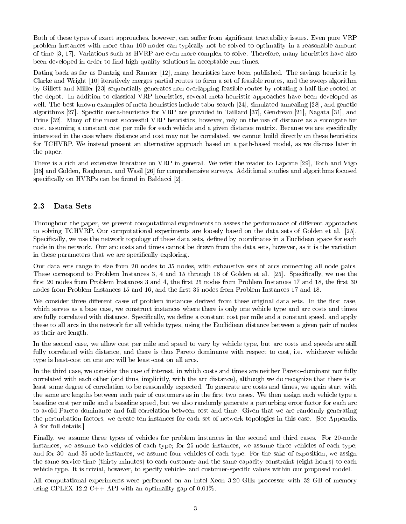Both of these types of exact approaches, however, can suffer from significant tractability issues. Even pure VRP problem instances with more than 100 nodes can typically not be solved to optimality in a reasonable amount of time [3, 17]. Variations such as HVRP are even more complex to solve. Therefore, many heuristics have also been developed in order to find high-quality solutions in acceptable run times.

Dating back as far as Dantzig and Ramser [12], many heuristics have been published. The savings heuristic by Clarke and Wright [10] iteratively merges partial routes to form a set of feasible routes, and the sweep algorithm by Gillett and Miller [23] sequentially generates non-overlapping feasible routes by rotating a half-line rooted at the depot. In addition to classical VRP heuristics, several meta-heuristic approaches have been developed as well. The best-known examples of meta-heuristics include tabu search [24], simulated annealing [28], and genetic algorithms [27]. Specific meta-heuristics for VRP are provided in Taillard [37], Gendreau [21], Nagata [31], and Prins [32]. Many of the most successful VRP heuristics, however, rely on the use of distance as a surrogate for cost, assuming a constant cost per mile for each vehicle and a given distance matrix. Because we are specifically interested in the case where distance and cost may not be correlated, we cannot build directly on these heuristics for TCHVRP. We instead present an alternative approach based on a path-based model, as we discuss later in the paper.

There is a rich and extensive literature on VRP in general. We refer the reader to Laporte [29], Toth and Vigo [38] and Golden, Raghavan, and Wasil [26] for comprehensive surveys. Additional studies and algorithms focused specifically on HVRPs can be found in Baldacci  $[2]$ .

### 2.3 Data Sets

Throughout the paper, we present computational experiments to assess the performance of different approaches to solving TCHVRP. Our computational experiments are loosely based on the data sets of Golden et al. [25]. Specifically, we use the network topology of these data sets, defined by coordinates in a Euclidean space for each node in the network. Our arc costs and times cannot be drawn from the data sets, however, as it is the variation in these parameters that we are specifically exploring.

Our data sets range in size from 20 nodes to 35 nodes, with exhaustive sets of arcs connecting all node pairs. These correspond to Problem Instances 3, 4 and 15 through 18 of Golden et al. [25]. Specifically, we use the first 20 nodes from Problem Instances 3 and 4, the first 25 nodes from Problem Instances 17 and 18, the first 30 nodes from Problem Instances 15 and 16, and the first 35 nodes from Problem Instances 17 and 18.

We consider three different cases of problem instances derived from these original data sets. In the first case, which serves as a base case, we construct instances where there is only one vehicle type and arc costs and times are fully correlated with distance. Specifically, we define a constant cost per mile and a constant speed, and apply these to all arcs in the network for all vehicle types, using the Euclidiean distance between a given pair of nodes as their arc length.

In the second case, we allow cost per mile and speed to vary by vehicle type, but arc costs and speeds are still fully correlated with distance, and there is thus Pareto dominance with respect to cost, i.e. whichever vehicle type is least-cost on one arc will be least-cost on all arcs.

In the third case, we consider the case of interest, in which costs and times are neither Pareto-dominant nor fully correlated with each other (and thus, implicitly, with the arc distance), although we do recognize that there is at least some degree of correlation to be reasonably expected. To generate arc costs and times, we again start with the same arc lengths between each pair of customers as in the first two cases. We then assign each vehicle type a baseline cost per mile and a baseline speed, but we also randomly generate a perturbing error factor for each arc to avoid Pareto dominance and full correlation between cost and time. Given that we are randomly generating the perturbation factors, we create ten instances for each set of network topologies in this case. [See Appendix A for full details.]

Finally, we assume three types of vehicles for problem instances in the second and third cases. For 20-node instances, we assume two vehicles of each type; for 25-node instances, we assume three vehicles of each type; and for 30- and 35-node instances, we assume four vehicles of each type. For the sake of exposition, we assign the same service time (thirty minutes) to each customer and the same capacity constraint (eight hours) to each vehicle type. It is trivial, however, to specify vehicle- and customer-specific values within our proposed model.

All computational experiments were performed on an Intel Xeon 3.20 GHz processor with 32 GB of memory using CPLEX 12.2 C++ API with an optimality gap of  $0.01\%$ .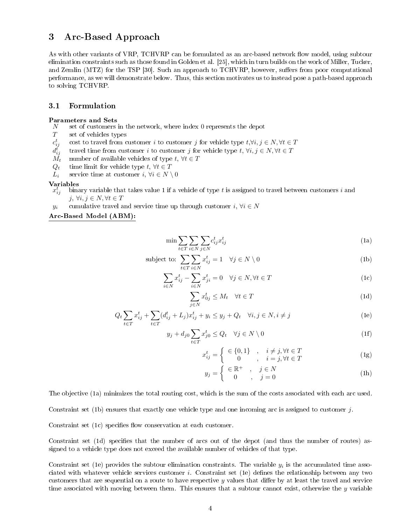# 3 Arc-Based Approach

As with other variants of VRP, TCHVRP can be formulated as an arc-based network flow model, using subtour elimination constraints such as those found in Golden et al. [25], which in turn builds on the work of Miller, Tucker, and Zemlin (MTZ) for the TSP [30]. Such an approach to TCHVRP, however, suffers from poor computational performance, as we will demonstrate below. Thus, this section motivates us to instead pose a path-based approach to solving TCHVRP.

### 3.1 Formulation

Parameters and Sets  $N$  set of customers

set of customers in the network, where index 0 represents the depot

- T set of vehicles types
- $c_i^t$ cost to travel from customer i to customer j for vehicle type  $t, \forall i, j \in N, \forall t \in T$
- $d_i^t$  $d_{ij}^t$  travel time from customer i to customer j for vehicle type t,  $\forall i, j \in N, \forall t \in T$ <br>  $M_t$  number of available vehicles of type t,  $\forall t \in T$
- number of available vehicles of type  $t, \forall t \in T$
- $Q_t$  time limit for vehicle type  $t, \forall t \in T$
- $L_i$  service time at customer  $i, \forall i \in N \setminus 0$

#### Variables

- $x_i^t$ binary variable that takes value 1 if a vehicle of type  $t$  is assigned to travel between customers i and j,  $\forall i, j \in N, \forall t \in T$
- y<sub>i</sub> cumulative travel and service time up through customer  $i, \forall i \in N$

Arc-Based Model (ABM):

$$
\min \sum_{t \in T} \sum_{i \in N} \sum_{j \in N} c_{ij}^t x_{ij}^t \tag{1a}
$$

subject to: 
$$
\sum_{t \in T} \sum_{i \in N} x_{ij}^t = 1 \quad \forall j \in N \setminus 0
$$
 (1b)

$$
\sum_{i \in N} x_{ij}^t - \sum_{i \in N} x_{ji}^t = 0 \quad \forall j \in N, \forall t \in T
$$
\n
$$
(1c)
$$

$$
\sum_{j \in N} x_{0j}^t \le M_t \quad \forall t \in T \tag{1d}
$$

$$
Q_t \sum_{t \in T} x_{ij}^t + \sum_{t \in T} (d_{ij}^t + L_j) x_{ij}^t + y_i \le y_j + Q_t \quad \forall i, j \in N, i \ne j
$$
\n
$$
(1e)
$$

$$
y_j + d_{j0} \sum_{t \in T} x_{j0}^t \le Q_t \quad \forall j \in N \setminus 0 \tag{1f}
$$

$$
x_{ij}^t = \begin{cases} \in \{0, 1\} & , \quad i \neq j, \forall t \in T \\ 0 & , \quad i = j, \forall t \in T \end{cases} \tag{1g}
$$

$$
y_j = \begin{cases} \in \mathbb{R}^+ & , j \in N \\ 0 & , j = 0 \end{cases}
$$
 (1h)

The objective (1a) minimizes the total routing cost, which is the sum of the costs associated with each arc used.

Constraint set (1b) ensures that exactly one vehicle type and one incoming arc is assigned to customer  $j$ .

Constraint set  $(1c)$  specifies flow conservation at each customer.

Constraint set  $(1d)$  specifies that the number of arcs out of the depot (and thus the number of routes) assigned to a vehicle type does not exceed the available number of vehicles of that type.

Constraint set (1e) provides the subtour elimination constraints. The variable  $y_i$  is the accumulated time associated with whatever vehicle services customer i. Constraint set (1e) denes the relationship between any two customers that are sequential on a route to have respective  $y$  values that differ by at least the travel and service time associated with moving between them. This ensures that a subtour cannot exist, otherwise the  $y$  variable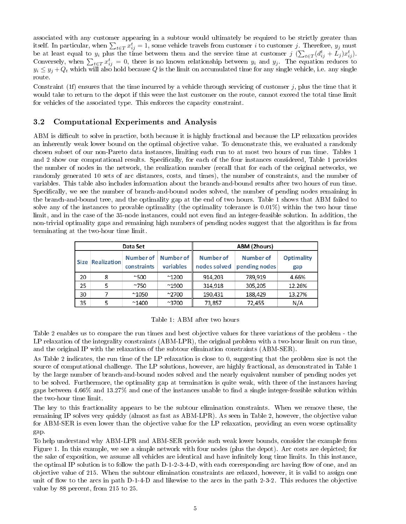associated with any customer appearing in a subtour would ultimately be required to be strictly greater than itself. In particular, when  $\sum_{t\in T}x^t_{ij}=1,$  some vehicle travels from customer  $i$  to customer  $j$ . Therefore,  $y_j$  must be at least equal to  $y_i$  plus the time between them and the service time at customer  $j \left( \sum_{t \in T} (d_{ij}^t + L_j) x_{ij}^t \right)$ . Conversely, when  $\sum_{t\in T} x_{ij}^t = 0$ , there is no known relationship between  $y_i$  and  $y_j$ . The equation reduces to  $y_i\leq y_j+Q_t$  which will also hold because  $Q$  is the limit on accumulated time for any single vehicle, i.e. any single route.

Constraint (1f) ensures that the time incurred by a vehicle through servicing of customer  $j$ , plus the time that it would take to return to the depot if this were the last customer on the route, cannot exceed the total time limit for vehicles of the associated type. This enforces the capacity constraint.

### 3.2 Computational Experiments and Analysis

ABM is difficult to solve in practice, both because it is highly fractional and because the LP relaxation provides an inherently weak lower bound on the optimal objective value. To demonstrate this, we evaluated a randomly chosen subset of our non-Pareto data instances, limiting each run to at most two hours of run time. Tables 1 and 2 show our computational results. Specifically, for each of the four instances considered, Table 1 provides the number of nodes in the network, the realization number (recall that for each of the original networks, we randomly generated 10 sets of arc distances, costs, and times), the number of constraints, and the number of variables. This table also includes information about the branch-and-bound results after two hours of run time. Specifically, we see the number of branch-and-bound nodes solved, the number of pending nodes remaining in the branch-and-bound tree, and the optimality gap at the end of two hours. Table 1 shows that ABM failed to solve any of the instances to provable optimality (the optimality tolerance is 0.01%) within the two hour time limit, and in the case of the 35-node instances, could not even find an integer-feasible solution. In addition, the non-trivial optimality gaps and remaining high numbers of pending nodes suggest that the algorithm is far from terminating at the two-hour time limit.

|             |                    | Data Set                   |                           | ABM (2hours)                     |                            |                          |  |
|-------------|--------------------|----------------------------|---------------------------|----------------------------------|----------------------------|--------------------------|--|
| <b>Size</b> | <b>Realization</b> | Number of  <br>constraints | Number of II<br>variables | <b>Number of</b><br>nodes solved | Number of<br>pending nodes | <b>Optimality</b><br>gap |  |
| 20          | 8                  | $^{\sim}500$               | $^{\sim}1200$             | 914,203                          | 789.919                    | 4.66%                    |  |
| 25          |                    | $^{\sim}750$               | $^{\sim}$ 1900            | 314,918                          | 305,205                    | 12.26%                   |  |
| 30          |                    | $^{\sim}1050$              | $^{\sim}2700$             | 190,431                          | 188,429                    | 13.27%                   |  |
| 35          |                    | $^{\sim}$ 1400             | $^{\sim}3700$             | 73,857                           | 72,455                     | N/A                      |  |

Table 1: ABM after two hours

Table 2 enables us to compare the run times and best objective values for three variations of the problem - the LP relaxation of the integrality constraints (ABM-LPR), the original problem with a two-hour limit on run time, and the original IP with the relaxation of the subtour elimination constraints (ABM-SER).

As Table 2 indicates, the run time of the LP relaxation is close to 0, suggesting that the problem size is not the source of computational challenge. The LP solutions, however, are highly fractional, as demonstrated in Table 1 by the large number of branch-and-bound nodes solved and the nearly equivalent number of pending nodes yet to be solved. Furthermore, the optimality gap at termination is quite weak, with three of the instances having gaps between  $4.66\%$  and  $13.27\%$  and one of the instances unable to find a single integer-feasible solution within the two-hour time limit.

The key to this fractionality appears to be the subtour elimination constraints. When we remove these, the remaining IP solves very quickly (almost as fast as ABM-LPR). As seen in Table 2, however, the objective value for ABM-SER is even lower than the objective value for the LP relaxation, providing an even worse optimality gap.

To help understand why ABM-LPR and ABM-SER provide such weak lower bounds, consider the example from Figure 1. In this example, we see a simple network with four nodes (plus the depot). Arc costs are depicted; for the sake of exposition, we assume all vehicles are identical and have infinitely long time limits. In this instance, the optimal IP solution is to follow the path D-1-2-3-4-D, with each corresponding arc having flow of one, and an objective value of 215. When the subtour elimination constraints are relaxed, however, it is valid to assign one unit of flow to the arcs in path D-1-4-D and likewise to the arcs in the path 2-3-2. This reduces the objective value by 88 percent, from 215 to 25.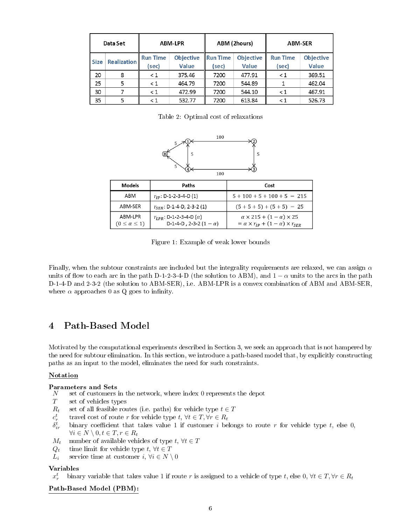| Data Set    |                    |                 | <b>ABM-LPR</b>   |                 | ABM (2hours)     | <b>ABM-SER</b>  |                  |
|-------------|--------------------|-----------------|------------------|-----------------|------------------|-----------------|------------------|
| <b>Size</b> | <b>Realization</b> | <b>Run Time</b> | <b>Objective</b> | <b>Run Time</b> | <b>Objective</b> | <b>Run Time</b> | <b>Objective</b> |
|             |                    | (sec)           | Value            | (sec)           | <b>Value</b>     | (sec)           | Value            |
| 20          | 8                  | < 1             | 375.46           | 7200            | 477.91           | $\leq 1$        | 369.51           |
| 25          | 5                  | < 1             | 464.79           | 7200            | 544.89           |                 | 462.04           |
| 30          |                    | < 1             | 472.99           | 7200            | 544.10           | < 1             | 467.91           |
| 35          | 5                  | < 1             | 532.77           | 7200            | 613.84           | $\leq 1$        | 526.73           |

Table 2: Optimal cost of relaxations



| <b>Models</b>                     | Paths                                                                 | Cost                                                                                                   |
|-----------------------------------|-----------------------------------------------------------------------|--------------------------------------------------------------------------------------------------------|
| ABM                               | $r_{ID}$ : D-1-2-3-4-D (1)                                            | $5 + 100 + 5 + 100 + 5 = 215$                                                                          |
| ABM-SER                           | $r_{SFR}$ : D-1-4-D, 2-3-2 (1)                                        | $(5+5+5)+(5+5) = 25$                                                                                   |
| ABM-LPR<br>$(0 \le \alpha \le 1)$ | $r_{LPR}$ : D-1-2-3-4-D ( $\alpha$ )<br>D-1-4-D, 2-3-2 $(1 - \alpha)$ | $\alpha \times 215 + (1 - \alpha) \times 25$<br>$= \alpha \times r_{IP} + (1 - \alpha) \times r_{SFR}$ |

Figure 1: Example of weak lower bounds

Finally, when the subtour constraints are included but the integrality requirements are relaxed, we can assign  $\alpha$ units of flow to each arc in the path D-1-2-3-4-D (the solution to ABM), and  $1 - \alpha$  units to the arcs in the path D-1-4-D and 2-3-2 (the solution to ABM-SER), i.e. ABM-LPR is a convex combination of ABM and ABM-SER, where  $\alpha$  approaches 0 as Q goes to infinity.

# 4 Path-Based Model

Motivated by the computational experiments described in Section 3, we seek an approach that is not hampered by the need for subtour elimination. In this section, we introduce a path-based model that, by explicitly constructing paths as an input to the model, eliminates the need for such constraints.

### **Notation**

# **Parameters and Sets**  $N$  set of customers

- set of customers in the network, where index 0 represents the depot
- T set of vehicles types
- $R_t$  set of all feasible routes (i.e. paths) for vehicle type  $t \in T$
- travel cost of route r for vehicle type t,  $\forall t \in T, \forall r \in R_t$
- $c_r^t$ binary coefficient that takes value 1 if customer  $i$  belongs to route  $r$  for vehicle type  $t$ , else 0,  $\forall i \in N \setminus 0, t \in T, r \in R_t$
- $M_t$  number of available vehicles of type t,  $\forall t \in T$
- $Q_t$  time limit for vehicle type  $t, \forall t \in T$
- $L_i$  service time at customer  $i, \forall i \in N \setminus 0$

#### Variables

 $x_{\tau}^t$ binary variable that takes value 1 if route r is assigned to a vehicle of type t, else 0,  $\forall t \in T, \forall r \in R_t$ 

#### Path-Based Model (PBM):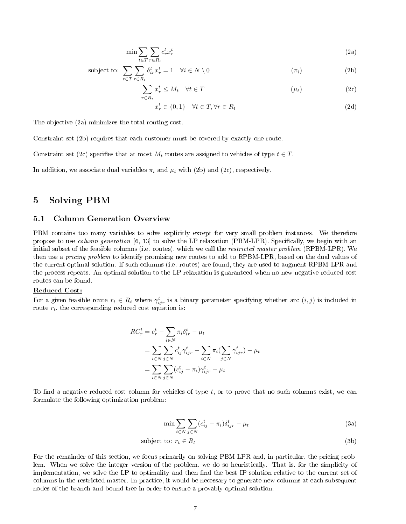$$
\min \sum_{t \in T} \sum_{r \in R_t} c_r^t x_r^t \tag{2a}
$$

subject to: 
$$
\sum_{t \in T} \sum_{r \in R_t} \delta_{ir}^t x_r^t = 1 \quad \forall i \in N \setminus 0 \tag{2b}
$$

$$
\sum_{r \in R_t} x_r^t \le M_t \quad \forall t \in T \tag{2c}
$$

$$
x_r^t \in \{0, 1\} \quad \forall t \in T, \forall r \in R_t \tag{2d}
$$

The objective (2a) minimizes the total routing cost.

Constraint set (2b) requires that each customer must be covered by exactly one route.

Constraint set (2c) specifies that at most  $M_t$  routes are assigned to vehicles of type  $t \in T$ .

In addition, we associate dual variables  $\pi_i$  and  $\mu_t$  with (2b) and (2c), respectively.

# 5 Solving PBM

### 5.1 Column Generation Overview

PBM contains too many variables to solve explicitly except for very small problem instances. We therefore propose to use *column generation* [6, 13] to solve the LP relaxation (PBM-LPR). Specifically, we begin with an initial subset of the feasible columns (i.e. routes), which we call the *restricted master problem* (RPBM-LPR). We then use a pricing problem to identify promising new routes to add to RPBM-LPR, based on the dual values of the current optimal solution. If such columns (i.e. routes) are found, they are used to augment RPBM-LPR and the process repeats. An optimal solution to the LP relaxation is guaranteed when no new negative reduced cost routes can be found.

#### Reduced Cost:

For a given feasible route  $r_t \in R_t$  where  $\gamma_{ijr}^t$  is a binary parameter specifying whether arc  $(i, j)$  is included in route  $r_t$ , the corresponding reduced cost equation is:

$$
RC_r^t = c_r^t - \sum_{i \in N} \pi_i \delta_{ir}^t - \mu_t
$$
  
= 
$$
\sum_{i \in N} \sum_{j \in N} c_{ij}^t \gamma_{ijr}^t - \sum_{i \in N} \pi_i (\sum_{j \in N} \gamma_{ijr}^t) - \mu_t
$$
  
= 
$$
\sum_{i \in N} \sum_{j \in N} (c_{ij}^t - \pi_i) \gamma_{ijr}^t - \mu_t
$$

To find a negative reduced cost column for vehicles of type  $t$ , or to prove that no such columns exist, we can formulate the following optimization problem:

$$
\min \sum_{i \in N} \sum_{j \in N} (c_{ij}^t - \pi_i) \delta_{ijr}^t - \mu_t
$$
\n(3a)

$$
subject to: r_t \in R_t \tag{3b}
$$

For the remainder of this section, we focus primarily on solving PBM-LPR and, in particular, the pricing problem. When we solve the integer version of the problem, we do so heuristically. That is, for the simplicity of implementation, we solve the LP to optimality and then find the best IP solution relative to the current set of columns in the restricted master. In practice, it would be necessary to generate new columns at each subsequent nodes of the branch-and-bound tree in order to ensure a provably optimal solution.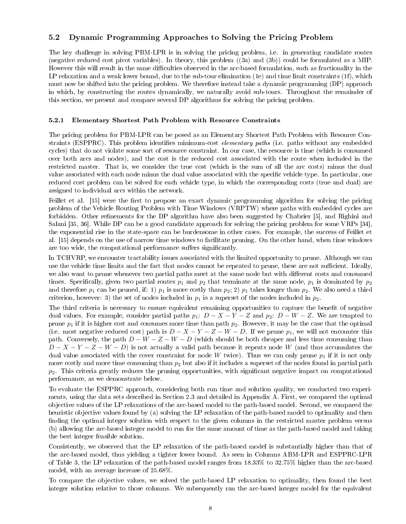### 5.2 Dynamic Programming Approaches to Solving the Pricing Problem

The key challenge in solving PBM-LPR is in solving the pricing problem, i.e. in generating candidate routes (negative reduced cost pivot variables). In theory, this problem ((3a) and (3b)) could be formulated as a MIP. However this will result in the same difficulties observed in the arc-based formulation, such as fractionality in the LP relaxation and a weak lower bound, due to the sub-tour elimination (1e) and time limit constraints (1f), which must now be shifted into the pricing problem. We therefore instead take a dynamic programming (DP) approach in which, by constructing the routes dynamically, we naturally avoid sub-tours. Throughout the remainder of this section, we present and compare several DP algorithms for solving the pricing problem.

### 5.2.1 Elementary Shortest Path Problem with Resource Constraints

The pricing problem for PBM-LPR can be posed as an Elementary Shortest Path Problem with Resource Constraints (ESPPRC). This problem identifies minimum-cost *elementary paths* (i.e. paths without any embedded cycles) that do not violate some sort of resource constraint. In our case, the resource is time (which is consumed over both arcs and nodes), and the cost is the reduced cost associated with the route when included in the restricted master. That is, we consider the true cost (which is the sum of all the arc costs) minus the dual value associated with each node minus the dual value associated with the specific vehicle type. In particular, one reduced cost problem can be solved for each vehicle type, in which the corresponding costs (true and dual) are assigned to individual arcs within the network.

Feillet et al. [15] were the first to propose an exact dynamic programming algorithm for solving the pricing problem of the Vehicle Routing Problem with Time Windows (VRPTW) where paths with embedded cycles are forbidden. Other refinements for the DP algorithm have also been suggested by Chabrier [5], and Righini and Salani [35, 36]. While DP can be a good candidate approach for solving the pricing problem for some VRPs [34], the exponential rise in the state-space can be burdensome in other cases. For example, the success of Feillet et al. [15] depends on the use of narrow time windows to facilitate pruning. On the other hand, when time windows are too wide, the computational performance suffers significantly.

In TCHVRP, we encounter tractability issues associated with the limited opportunity to prune. Although we can use the vehicle time limits and the fact that nodes cannot be repeated to prune, these are not sufficient. Ideally, we also want to prune whenever two partial paths meet at the same node but with different costs and consumed times. Specifically, given two partial routes  $p_1$  and  $p_2$  that terminate at the same node,  $p_1$  is dominated by  $p_2$ and therefore  $p_1$  can be pruned, if: 1)  $p_1$  is more costly than  $p_2$ ; 2)  $p_1$  takes longer than  $p_2$ . We also need a third criterion, however: 3) the set of nodes included in  $p_1$  is a superset of the nodes included in  $p_2$ .

The third criteria is necessary to ensure equivalent remaining opportunities to capture the benefit of negative dual values. For example, consider partial paths  $p_1: D - X - Y - Z$  and  $p_2: D - W - Z$ . We are tempted to prune  $p_1$  if it is higher cost and consumes more time than path  $p_2$ . However, it may be the case that the optimal (i.e. most negative reduced cost) path is  $D - X - Y - Z - W - D$ . If we prune  $p_1$ , we will not encounter this path. Conversely, the path  $D - W - Z - W - D$  (which should be both cheaper and less time consuming than  $D - X - Y - Z - W - D$ ) is not actually a valid path because it repeats node W (and thus accumulates the dual value associated with the cover constraint for node W twice). Thus we can only prune  $p_1$  if it is not only more costly and more time consuming than  $p_2$  but also if it includes a superset of the nodes found in partial path  $p_2$ . This criteria greatly reduces the pruning opportunities, with significant negative impact on computational performance, as we demonstrate below.

To evaluate the ESPPRC approach, considering both run time and solution quality, we conducted two experiments, using the data sets described in Section 2.3 and detailed in Appendix A. First, we compared the optimal objective values of the LP relaxations of the arc-based model to the path-based model. Second, we compared the heuristic objective values found by (a) solving the LP relaxation of the path-based model to optimality and then finding the optimal integer solution with respect to the given columns in the restricted master problem versus (b) allowing the arc-based integer model to run for the same amount of time as the path-based model and taking the best integer feasible solution.

Consistently, we observed that the LP relaxation of the path-based model is substantially higher than that of the arc-based model, thus yielding a tighter lower bound. As seen in Columns ABM-LPR and ESPPRC-LPR of Table 3, the LP relaxation of the path-based model ranges from 18.33% to 32.75% higher than the arc-based model, with an average increase of 25.68%.

To compare the objective values, we solved the path-based LP relaxation to optimality, then found the best integer solution relative to those columns. We subsequently ran the arc-based integer model for the equivalent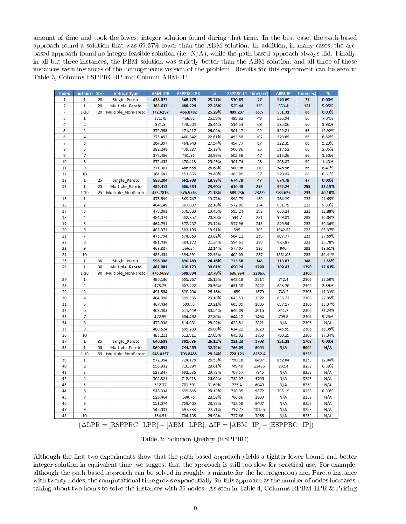amount of time and took the lowest integer solution found during that time. In the best case, the path-based approach found a solution that was 69.37% lower than the ABM solution. In addition, in many cases, the arcbased approach found no integer-feasible solution (i.e.  $N/A$ ), while the path-based approach always did. Finally, in all but three instances, the PBM solution was strictly better than the ABM solution, and all three of those instances were instances of the homogeneous version of the problem. Results for this experiment can be seen in Table 3, Columns ESPPRC-IP and Column ABM-IP.

| <b>Index</b>             | <b>Instance Size</b> |    | <b>Vehicle Type</b> | <b>ABM-LPR</b> | <b>ESPPRC-LPR</b> | %      | ESPPRC-IP time(sec) |        | <b>ABM-IP</b> | time(sec) | %        |
|--------------------------|----------------------|----|---------------------|----------------|-------------------|--------|---------------------|--------|---------------|-----------|----------|
| $\,1$                    | 1                    | 20 | Single Pareto       | 438.072        | 548.778           | 25.27% | 570.69              | 27     | 570.69        | 27        | 0.00%    |
| 2                        | $\,1$                | 20 | Multiple Pareto     | 383.637        | 488.224           | 27.26% | 525.44              | 123    | 553.4         | 123       | 5.05%    |
|                          | $1 - 10$             | 20 | Multiple NonPareto  | 372.6257       | 466.8702          | 25.29% | 499.287             | 65.5   | 531.31        | 66        | 6.03%    |
| 3                        | 1                    |    |                     | 371.78         | 466.91            | 25.59% | 489.82              | 49     | 526.94        | 66        | 7.04%    |
| 4                        | 2                    |    |                     | 374.5          | 473.504           | 26.44% | 514.54              | 68     | 535.86        | 66        | 3.98%    |
| 5                        | 3                    |    |                     | 373.955        | 471.317           | 26.04% | 501.17              | 92     | 582.21        | 66        | 13.92%   |
| 6                        | 4                    |    |                     | 375.452        | 460.342           | 22.61% | 493.58              | 102    | 529.69        | 66        | 6.82%    |
| 7                        | 5                    |    |                     | 364.397        | 464.748           | 27.54% | 494.77              | 67     | 522.39        | 66        | 5.29%    |
| 8                        | 6                    |    |                     | 382.248        | 479.287           | 25.39% | 506.86              | 35     | 517.52        | 66        | 2.06%    |
| 9                        | 7                    |    |                     | 372.486        | 461.86            | 23.99% | 505.58              | 47     | 513.26        | 66        | 1.50%    |
| 10                       | 8                    |    |                     | 375.455        | 470.413           | 25.29% | 501.74              | 28     | 508.85        | 66        | 1.40%    |
| 11                       | 9                    |    |                     | 371.301        | 466.656           | 25.68% | 500.96              | 110    | 546.96        | 66        | 8.41%    |
| 12                       | 10                   |    |                     | 364.683        | 453.665           | 24.40% | 483.85              | 57     | 529.42        | 66        | 8.61%    |
| 13                       | $\,1$                | 25 | Single_Pareto       | 559.204        | 661.708           | 18.33% | 674.79              | 47     | 674.79        | 47        | 0.00%    |
| 14                       | $\,1\,$              | 25 | Multiple_Pareto     | 489.413        | 606.384           | 23.90% | 616.48              | 255    | 922.24        | 255       | 33.15%   |
| $\overline{\phantom{a}}$ | $1 - 10$             | 25 | Multiple NonPareto  | 475.7815       | 576.5563          | 21.18% | 589.236             | 232.9  | 983.626       | 233       | 40.10%   |
| 15                       | $\,1$                |    |                     | 475.899        | 569.747           | 19.72% | 598.79              | 160    | 764.29        | 233       | 21.65%   |
| 16                       | $\overline{2}$       |    |                     | 464.149        | 567.087           | 22.18% | 572.85              | 154    | 631.79        | 233       | 9.33%    |
| 17                       | 3                    |    |                     | 478.001        | 570.983           | 19.45% | 595.24              | 192    | 683.24        | 233       | 12.88%   |
| 18                       | 4                    |    |                     | 484.074        | 582.357           | 20.30% | 594.7               | 281    | 929.81        | 233       | 36.04%   |
| 19                       | 5                    |    |                     | 464.791        | 572.237           | 23.12% | 577.96              | 245    | 829.94        | 233       | 30.36%   |
| 20                       | 6                    |    |                     | 486.371        | 583.196           | 19.91% | 595                 | 305    | 1942.52       | 233       | 69.37%   |
| 21                       | 7                    |    |                     | 475.794        | 574.853           | 20.82% | 584.11              | 239    | 807.77        | 233       | 27.69%   |
| 22                       | 8                    |    |                     | 481.448        | 584.172           | 21.34% | 594.61              | 280    | 925.87        | 233       | 35.78%   |
| 23                       | 9                    |    |                     | 463.837        | 566.54            | 22.14% | 577.07              | 186    | 940           | 233       | 38.61%   |
| 24                       | 10                   |    |                     | 483.451        | 594.391           | 22.95% | 602.03              | 287    | 1381.03       | 233       | 56.41%   |
| 25                       | $\,1$                | 30 | Single_Pareto       | 556.388        | 690.789           | 24.16% | 733.58              | 348    | 713.07        | 348       | $-2.88%$ |
| 26                       | $\,1$                | 30 | Multiple Pareto     | 487.081        | 636.173           | 30.61% | 650.24              | 1798   | 789.43        | 1798      | 17.63%   |
| $\overline{\phantom{a}}$ | $1 - 10$             | 30 | Multiple_NonPareto  | 476.5658       | 608.994           | 27.79% | 636.354             | 2305.6 |               | 2306      |          |
| 27                       | $\,1$                |    |                     | 480.186        | 605.767           | 26.15% | 642.18              | 2814   | 742.4         | 2306      | 13.50%   |
| 28                       | 2                    |    |                     | 478.29         | 607.222           | 26.96% | 631.58              | 2422   | 653.76        | 2306      | 3.39%    |
| 29                       | 3                    |    |                     | 491.584        | 620.204           | 26.16% | 659                 | 1679   | 743.2         | 2306      | 11.33%   |
| 30                       | 4                    |    |                     | 464.098        | 599.535           | 29.18% | 643.53              | 2372   | 835.23        | 2306      | 22.95%   |
| 31                       | 5                    |    |                     | 467.434        | 603.99            | 29.21% | 603.99              | 2895   | 697.17        | 2306      | 13.37%   |
| 32                       | 6                    |    |                     | 468.403        | 611.449           | 30.54% | 646.09              | 3016   | 841.7         | 2306      | 23.24%   |
| 33                       | 7                    |    |                     | 472.99         | 604.492           | 27.80% | 644.12              | 1464   | 709.8         | 2306      | 9.25%    |
| 34                       | 8                    |    |                     | 478.938        | 614.081           | 28.22% | 623.81              | 2821   | N/A           | 2306      | N/A      |
| 35                       | 9                    |    |                     | 480.524        | 609.289           | 26.80% | 624.22              | 1820   | 746.59        | 2306      | 16.39%   |
| 36                       | 10                   |    |                     | 483.211        | 613.911           | 27.05% | 645.02              | 1753   | 780.29        | 2306      | 17.34%   |
| 37                       | 1                    | 35 | Single_Pareto       | 640.683        | 801.635           | 25.12% | 821.23              | 1708   | 821.23        | 1708      | 0.00%    |
| 38                       | $\,1$                | 35 | Multiple Pareto     | 560.893        | 744.589           | 32.75% | 766.09              | 8003   | N/A           | 8003      | N/A      |
| $\overline{a}$           | $1 - 10$             | 35 | Multiple NonPareto  | 548.8337       | 703.8488          | 28.24% | 728.123             | 8252.4 |               | 8253      |          |
| 39                       | $\,1$                |    |                     | 572.354        | 724.176           | 26.53% | 750.18              | 8497   | 852.84        | 8253      | 12.04%   |
| 40                       | 2                    |    |                     | 556.932        | 716.294           | 28.61% | 749.49              | 11436  | 802.4         | 8253      | 6.59%    |
| 41                       | 3                    |    |                     | 533.847        | 692.536           | 29.73% | 707.57              | 7945   | N/A           | 8253      | N/A      |
| 42                       | 4                    |    |                     | 565.321        | 712.613           | 26.05% | 735.07              | 9706   | N/A           | 8253      | N/A      |
| 43                       | 5                    |    |                     | 532.77         | 701.591           | 31.69% | 725.4               | 6040   | N/A           | 8253      | N/A      |
| 44                       | 6                    |    |                     | 546.034        | 699.645           | 28.13% | 728.95              | 9672   | 795.19        | 8253      | 8.33%    |
| 45                       | 7                    |    |                     | 529.464        | 680.76            | 28.58% | 706.56              | 2800   | N/A           | 8253      | N/A      |
| 46                       | 8                    |    |                     | 551.074        | 709.405           | 28.73% | 732.58              | 8407   | N/A           | 8253      | N/A      |
| 47                       | 9                    |    |                     | 546.031        | 697.333           | 27.71% | 717.77              | 10155  | N/A           | 8253      | N/A      |
| 48                       | 10                   |    |                     | 554.51         | 704.135           | 26.98% | 727.66              | 7866   | N/A           | 8253      | N/A      |

 $(\Delta LPR = [RSPPRC LPR] - [ABM LPR], \Delta IP = [ABM IP] - [ESPPRC IP])$ 

Table 3: Solution Quality (ESPPRC)

Although the first two experiments show that the path-based approach yields a tighter lower bound and better integer solution in equivalent time, we suggest that the approach is still too slow for practical use. For example, although the path-based approach can be solved in roughly a minute for the heterogeneous non-Pareto instance with twenty nodes, the computational time grows exponentially for this approach as the number of nodes increases, taking about two hours to solve the instances with 35 nodes. As seen in Table 4, Columns RPBM-LPR & Pricing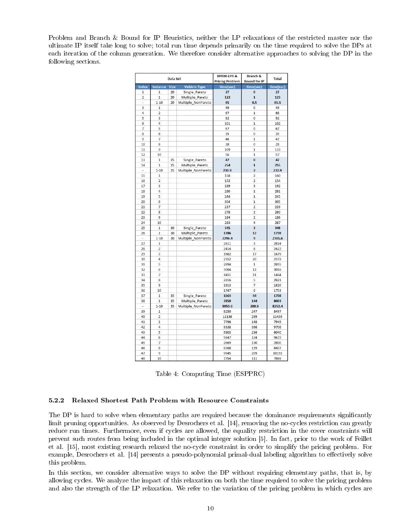Problem and Branch & Bound for IP Heuristics, neither the LP relaxations of the restricted master nor the ultimate IP itself take long to solve; total run time depends primarily on the time required to solve the DPs at each iteration of the column generation. We therefore consider alternative approaches to solving the DP in the following sections.

|              |                         | Data Set |                     | <b>RPBM-LPR &amp;</b>  | Branch &                | Total     |  |  |
|--------------|-------------------------|----------|---------------------|------------------------|-------------------------|-----------|--|--|
|              |                         |          |                     | <b>Pricing Problem</b> | <b>Bound for IP</b>     | time(sec) |  |  |
| <b>Index</b> | <b>Instance</b>         | Size     | <b>Vehicle Type</b> | time(sec)              | time(sec)               |           |  |  |
| $\mathbf{1}$ | $\mathbf{1}$            | 20       | Single_Pareto       | 27                     | $\bf{0}$                | 27        |  |  |
| 2            | $\,1$                   | 20       | Multiple Pareto     | 122                    | $\mathbf{1}$            | 123       |  |  |
|              | $1 - 10$                | 20       | Multiple NonPareto  | 65                     | 0.5                     | 65.5      |  |  |
| 3            | $\,1$                   |          |                     | 49                     | 0                       | 49        |  |  |
| 4            | $\overline{\mathbf{2}}$ |          |                     | 67                     | $\mathbf{1}$            | 68        |  |  |
| 5            | 3                       |          |                     | 92                     | $\overline{0}$          | 92        |  |  |
| 6            | 4                       |          |                     | 101                    | $\mathbf{1}$            | 102       |  |  |
| 7            | 5                       |          |                     | 67                     | 0                       | 67        |  |  |
| 8            | 6                       |          |                     | 35                     | 0                       | 35        |  |  |
| 9            | 7                       |          |                     | 46                     | $\mathbf{1}$            | 47        |  |  |
| 10           | 8                       |          |                     | 28                     | 0                       | 28        |  |  |
| 11           | 9                       |          |                     | 109                    | $\overline{1}$          | 110       |  |  |
| 12           | 10                      |          |                     | 56                     | $\mathbf{1}$            | 57        |  |  |
| 13           | $\mathbf{1}$            | 25       | Single Pareto       | 47                     | $\bf{0}$                | 47        |  |  |
| 14           | $\mathbf{1}$            | 25       | Multiple_Pareto     | 254                    | 1                       | 255       |  |  |
| ÷,           | $1 - 10$                | 25       | Multiple_NonPareto  | 230.9                  | $\overline{\mathbf{2}}$ | 232.9     |  |  |
| 15           | $\mathbf{1}$            |          |                     | 158                    | $\overline{2}$          | 160       |  |  |
| 16           | $\overline{2}$          |          |                     | 152                    | $\overline{2}$          | 154       |  |  |
|              | 3                       |          |                     |                        | 3                       |           |  |  |
| 17           |                         |          |                     | 189                    |                         | 192       |  |  |
| 18           | 4                       |          |                     | 280                    | $\overline{1}$          | 281       |  |  |
| 19           | 5                       |          |                     | 244                    | $\overline{1}$          | 245       |  |  |
| 20           | 6                       |          |                     | 304                    | $\overline{1}$          | 305       |  |  |
| 21           | 7                       |          |                     | 237                    | 2                       | 239       |  |  |
| 22           | 8                       |          |                     | 278                    | $\overline{2}$          | 280       |  |  |
| 23           | 9                       |          |                     | 184                    | $\overline{2}$          | 186       |  |  |
| 24           | 10                      |          |                     | 283                    | 4                       | 287       |  |  |
| 25           | $\mathbf{1}$            | 30       | Single Pareto       | 345                    | $\overline{\mathbf{3}}$ | 348       |  |  |
| 26           | $\mathbf{1}$            | 30       | Multiple Pareto     | 1786                   | 12                      | 1798      |  |  |
| L,           | $1 - 10$                | 30       | Multiple NonPareto  | 2296.4                 | 9                       | 2305.6    |  |  |
| 27           | $\mathbf{1}$            |          |                     | 2811                   | 3                       | 2814      |  |  |
| 28           | $\overline{2}$          |          |                     | 2414                   | 8                       | 2422      |  |  |
| 29           | 3                       |          |                     | 1662                   | 17                      | 1679      |  |  |
| 30           | 4                       |          |                     | 2352                   | 20                      | 2372      |  |  |
| 31           | 5                       |          |                     | 2894                   | $\mathbf{1}$            | 2895      |  |  |
| 32           | 6                       |          |                     | 3004                   | 12                      | 3016      |  |  |
| 33           | 7                       |          |                     | 1451                   | 11                      | 1464      |  |  |
| 34           | 8                       |          |                     | 2816                   | 5                       | 2821      |  |  |
| 35           | 9                       |          |                     | 1813                   | 7                       | 1820      |  |  |
| 36           | 10                      |          |                     | 1747                   | 6                       | 1753      |  |  |
| 37           | $\mathbf{1}$            | 35       | Single_Pareto       | 1663                   | 44                      | 1708      |  |  |
| 38           | $\mathbf{1}$            | 35       | Multiple Pareto     | 7859                   | 144                     | 8003      |  |  |
| ÷,           | $1 - 10$                | 35       | Multiple NonPareto  | 8050.6                 | 200.9                   | 8252.4    |  |  |
| 39           | $\mathbf{1}$            |          |                     | 8250                   | 247                     | 8497      |  |  |
| 40           | $\overline{\mathbf{c}}$ |          |                     | 11136                  | 299                     | 11436     |  |  |
| 41           | 3                       |          |                     | 7796                   | 148                     | 7945      |  |  |
|              |                         |          |                     |                        |                         |           |  |  |
| 42           | 4                       |          |                     | 9338                   | 366                     | 9706      |  |  |
| 43           | 5                       |          |                     | 5803                   | 236                     | 6040      |  |  |
| 44           | 6                       |          |                     | 9547                   | 124                     | 9672      |  |  |
| 45           | 7                       |          |                     | 2669                   | 130                     | 2800      |  |  |
| 46           | 8                       |          |                     | 8268                   | 139                     | 8407      |  |  |
| 47           | 9                       |          |                     | 9945                   | 209                     | 10155     |  |  |
| 48           | 10                      |          |                     | 7754                   | 111                     | 7866      |  |  |

Table 4: Computing Time (ESPPRC)

#### 5.2.2 Relaxed Shortest Path Problem with Resource Constraints

The DP is hard to solve when elementary paths are required because the dominance requirements significantly limit pruning opportunities. As observed by Desrochers et al. [14], removing the no-cycles restriction can greatly reduce run times. Furthermore, even if cycles are allowed, the equality restriction in the cover constraints will prevent such routes from being included in the optimal integer solution [5]. In fact, prior to the work of Feillet et al. [15], most existing research relaxed the no-cycle constraint in order to simplify the pricing problem. For example, Desrochers et al. [14] presents a pseudo-polynomial primal-dual labeling algorithm to effectively solve this problem.

In this section, we consider alternative ways to solve the DP without requiring elementary paths, that is, by allowing cycles. We analyze the impact of this relaxation on both the time required to solve the pricing problem and also the strength of the LP relaxation. We refer to the variation of the pricing problem in which cycles are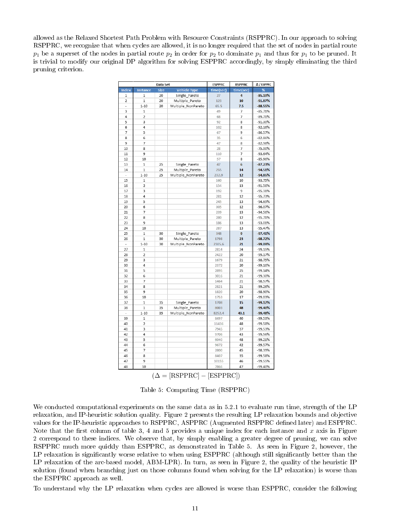allowed as the Relaxed Shortest Path Problem with Resource Constraints (RSPPRC). In our approach to solving RSPPRC, we recognize that when cycles are allowed, it is no longer required that the set of nodes in partial route  $p_1$  be a superset of the nodes in partial route  $p_2$  in order for  $p_2$  to dominate  $p_1$  and thus for  $p_1$  to be pruned. It is trivial to modify our original DP algorithm for solving ESPPRC accordingly, by simply eliminating the third pruning criterion.

|                          |                         | Data Set    |                                  | <b>ESPPRC</b> | <b>RSPPRC</b> | $\Delta$ / ESPPRC |
|--------------------------|-------------------------|-------------|----------------------------------|---------------|---------------|-------------------|
| <b>Index</b>             | <b>Instance</b>         | <b>Size</b> | <b>Vehicle Type</b>              | time(sec)     | time(sec)     | %                 |
| 1                        | $\mathbf{1}$            | 20          | Single Pareto                    | 27            | 4             | $-85.19%$         |
| 2                        | $\mathbf{1}$            | 20          | Multiple Pareto                  | 123           | 10            | $-91.87%$         |
| L                        | $1 - 10$                | 20          | Multiple NonPareto               | 65.5          | 7.5           | $-88.55%$         |
| 3                        | $\mathbf{1}$            |             |                                  | 49            | 7             | $-85.71%$         |
| 4                        | 2                       |             |                                  | 68            | 7             | $-89.71%$         |
| 5                        | 3                       |             |                                  | 92            | 8             | $-91.30%$         |
| 6                        | 4                       |             |                                  | 102           | 8             | $-92.16%$         |
| 7                        | 5                       |             |                                  | 67            | 9             | $-86.57%$         |
| 8                        | 6                       |             |                                  | 35            | 6             | $-82.86%$         |
| 9                        | 7                       |             |                                  | 47            | 8             | $-82.98%$         |
| 10                       | 8                       |             |                                  | 28            | 7             | $-75.00%$         |
| 11                       | 9                       |             |                                  | 110           | 7             | $-93.64%$         |
| 12                       | 10                      |             |                                  | 57            | 8             | $-85.96%$         |
| 13                       | $\mathbf{1}$            | 25          | Single Pareto                    | 47            | 6             | $-87.23%$         |
| 14                       | $\mathbf{1}$            | 25          | Multiple Pareto                  | 255           | 14            | $-94.51%$         |
| $\overline{\phantom{a}}$ | $1 - 10$                | 25          | Multiple NonPareto               | 232.9         | 12            | $-94.85%$         |
| 15                       | $\mathbf{1}$            |             |                                  | 160           | 10            | $-93.75%$         |
| 16                       | 2                       |             |                                  | 154           | 13            | $-91.56%$         |
| 17                       | 3                       |             |                                  | 192           | 9             | $-95.31%$         |
| 18                       | 4                       |             |                                  | 281           | 12            | $-95.73%$         |
| 19                       | 5                       |             |                                  | 245           | 13            | $-94.69%$         |
| 20                       | 6                       |             |                                  | 305           | 12            | $-96.07%$         |
| 21                       | $\overline{7}$          |             |                                  | 239           | 13            | $-94.56%$         |
| 22                       | 8                       |             |                                  | 280           | 12            | $-95.71%$         |
| 23                       | 9                       |             |                                  | 186           | 13            | $-93.01%$         |
| 24                       | 10                      |             |                                  | 287           | 13            | $-95.47%$         |
| 25                       | $\mathbf{1}$            | 30          | Single Pareto                    | 348           | 9             | $-97.41%$         |
| 26                       | $\mathbf{1}$            | 30          | Multiple Pareto                  | 1798          | 23            | $-98.72%$         |
| $\overline{a}$           | $1 - 10$                | 30          | Multiple NonPareto               | 2305.6        | 21            | -99.09%           |
| 27                       | $\mathbf{1}$            |             |                                  | 2814          | 24            | $-99.15%$         |
| 28                       | $\overline{2}$          |             |                                  | 2422          | 20            | $-99.17%$         |
| 29                       | 3                       |             |                                  | 1679          | 21            | $-98.75%$         |
| 30                       | 4                       |             |                                  | 2372          | 20            | $-99.16%$         |
| 31                       | 5                       |             |                                  | 2895          | 25            | $-99.14%$         |
| 32                       | 6                       |             |                                  | 3016          | 21            | -99.30%           |
| 33                       | 7                       |             |                                  | 1464          | 21            | $-98.57%$         |
| 34                       | 8                       |             |                                  | 2821          | 21            | $-99.26%$         |
| 35                       | 9                       |             |                                  | 1820          | 20            | -98.90%           |
| 36                       | 10                      |             |                                  | 1753          | 17            | $-99.03%$         |
| 37                       | $\mathbf{1}$            | 35          | Single_Pareto                    | 1708          | 15            | $-99.12%$         |
| 38                       | $\mathbf{1}$            | 35          | Multiple Pareto                  | 8003          | 48            | $-99.40%$         |
| $\overline{\phantom{a}}$ | $1 - 10$                | 35          | Multiple NonPareto               | 8252.4        | 43.1          | $-99.48%$         |
| 39                       | 1                       |             |                                  | 8497          | 40            | $-99.53%$         |
| 40                       | $\overline{\mathbf{c}}$ |             |                                  | 11436         | 48            | $-99.58%$         |
| 41                       | 3                       |             |                                  | 7945          | 37            | $-99.53%$         |
| 42                       | 4                       |             |                                  | 9706          | 43            | $-99.56%$         |
| 43                       | 5                       |             |                                  | 6040          | 48            | $-99.21%$         |
| 44                       | 6                       |             |                                  | 9672          | 42            | $-99.57%$         |
| 45                       | 7                       |             |                                  | 2800          | 45            | $-98.39%$         |
| 46                       | 8                       |             |                                  | 8407          | 35            | -99.58%           |
| 47                       | 9                       |             |                                  | 10155         | 46            | $-99.55%$         |
| 48                       | 10                      |             |                                  | 7866          | 47            | -99.40%           |
|                          |                         |             |                                  |               |               |                   |
|                          |                         |             | $(\Delta = [RSPPRC] - [ESPPRC])$ |               |               |                   |

Table 5: Computing Time (RSPPRC)

We conducted computational experiments on the same data as in 5.2.1 to evaluate run time, strength of the LP relaxation, and IP-heuristic solution quality. Figure 2 presents the resulting LP relaxation bounds and objective values for the IP-heuristic approaches to RSPPRC, ASPPRC (Augmented RSPPRC dened later) and ESPPRC. Note that the first column of table 3, 4 and 5 provides a unique index for each instance and x axis in Figure 2 correspond to these indices. We observe that, by simply enabling a greater degree of pruning, we can solve RSPPRC much more quickly than ESPPRC, as demonstrated in Table 5. As seen in Figure 2, however, the LP relaxation is significantly worse relative to when using ESPPRC (although still significantly better than the LP relaxation of the arc-based model, ABM-LPR). In turn, as seen in Figure 2, the quality of the heuristic IP solution (found when branching just on those columns found when solving for the LP relaxation) is worse than the ESPPRC approach as well.

To understand why the LP relaxation when cycles are allowed is worse than ESPPRC, consider the following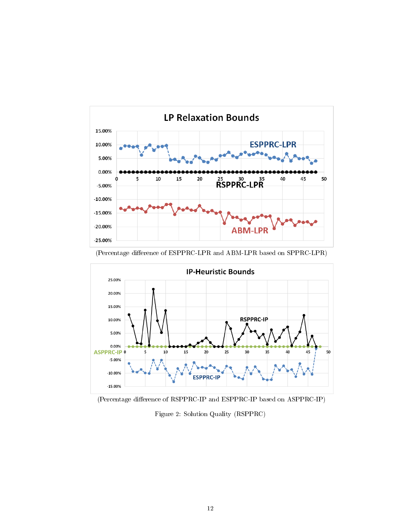

(Percentage difference of ESPPRC-LPR and ABM-LPR based on SPPRC-LPR)





Figure 2: Solution Quality (RSPPRC)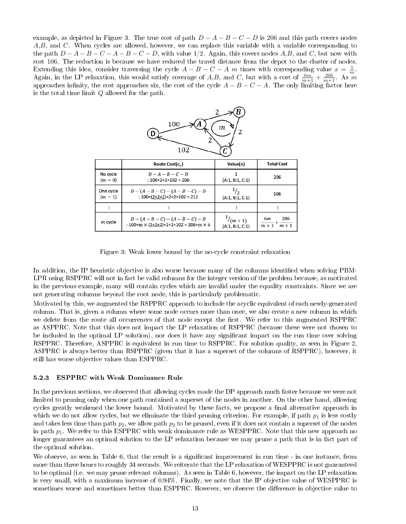example, as depicted in Figure 3. The true cost of path  $D - A - B - C - D$  is 206 and this path covers nodes A,B, and C. When cycles are allowed, however, we can replace this variable with a variable corresponding to the path  $D - A - B - C - A - B - C - D$ , with value 1/2. Again, this covers nodes A,B, and C, but now with cost 106. The reduction is because we have reduced the travel distance from the depot to the cluster of nodes. Extending this idea, consider traversing the cycle  $A - B - C - A$  m times with corresponding value  $x = \frac{1}{m}$ . Again, in the LP relaxation, this would satisfy coverage of A,B, and C, but with a cost of  $\frac{6m}{m+1} + \frac{206}{m+1}$ . As m approaches infinity, the cost approaches six, the cost of the cycle  $A - B - C - A$ . The only limiting factor here is the total time limit Q allowed for the path.



Figure 3: Weak lower bound by the no-cycle constraint relaxation

In addition, the IP heuristic objective is also worse because many of the columns identified when solving PBM-LPR using RSPPRC will not in fact be valid columns for the integer version of the problem because, as motivated in the previous example, many will contain cycles which are invalid under the equality constraints. Since we are not generating columns beyond the root node, this is particularly problematic.

Motivated by this, we augmented the RSPPRC approach to include the acyclic equivalent of each newly-generated column. That is, given a column where some node occurs more than once, we also create a new column in which we delete from the route all occurrences of that node except the first. We refer to this augmented RSPPRC as ASPPRC. Note that this does not impact the LP relaxation of RSPPRC (because these were not chosen to be included in the optimal LP solution), nor does it have any signicant impact on the run time over solving RSPPRC. Therefore, ASPPRC is equivalent in run time to RSPPRC. For solution quality, as seen in Figure 2, ASPPRC is always better than RSPPRC (given that it has a superset of the columns of RSPPRC), however, it still has worse objective values than ESPPRC.

#### 5.2.3 ESPPRC with Weak Dominance Rule

In the previous sections, we observed that allowing cycles made the DP approach much faster because we were not limited to pruning only when one path contained a superset of the nodes in another. On the other hand, allowing cycles greatly weakened the lower bound. Motivated by these facts, we propose a final alternative approach in which we do not allow cycles, but we eliminate the third pruning criterion. For example, if path  $p_1$  is less costly and takes less time than path  $p_2$ , we allow path  $p_2$  to be pruned, even if it does not contain a superset of the nodes in path  $p_1$ . We refer to this ESPPRC with weak dominance rule as WESPPRC. Note that this new approach no longer guarantees an optimal solution to the LP relaxation because we may prune a path that is in fact part of the optimal solution.

We observe, as seen in Table 6, that the result is a significant improvement in run time - in one instance, from more than three hours to roughly 34 seconds. We reiterate that the LP relaxation of WESPPRC is not guaranteed to be optimal (i.e. we may prune relevant columns). As seen in Table 6, however, the impact on the LP relaxation is very small, with a maximum increase of 0.94%. Finally, we note that the IP objective value of WESPPRC is sometimes worse and sometimes better than ESPPRC. However, we observe the difference in objective value to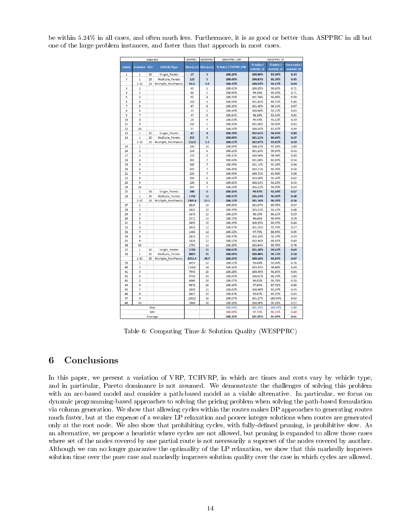be within 5.24% in all cases, and often much less. Furthermore, it is as good or better than ASPPRC in all but one of the large problem instances, and faster than that approach in most cases.

|                         |                         | Data Set   |                     | ESPPRC        | WESPPRC        | WESPPRC-LPR          | WESPPRC-IP        |                   |                  |
|-------------------------|-------------------------|------------|---------------------|---------------|----------------|----------------------|-------------------|-------------------|------------------|
|                         |                         |            |                     |               |                |                      | % Ratio /         | % Ratio /         | Time Ratio /     |
| Index                   | <b>Instance Size</b>    |            | <b>Vehicle Type</b> | time(sec)     | time(sec)      | % Ratio / ESPPRC-LPR | <b>ESPPRC-IP</b>  | <b>ASPPRC-IP</b>  | <b>ASPPRC-IP</b> |
| $\mathbf{1}$            | 1                       | 20         | Single Pareto       | 27            | 3              | 100.20%              | 100.00%           | 93.69%            | 0.43             |
| $\overline{\mathbf{c}}$ | $\mathbf 1$             | 20         | Multiple Pareto     | 123           | 5              | 100.00%              | 100.83%           | 91.39%            | 0.45             |
| i,                      | $1 - 10$                | 20         | Multiple NonPareto  | 65.5          | 4.9            | 100.39%              | 100.54%           | 91.53%            | 0.64             |
| 3                       | $\mathbf{1}$            |            |                     | 49            | 5              | 100.41%              | 100.29%           | 90.65%            | 0.71             |
| 4                       | $\overline{\mathbf{c}}$ |            |                     | 68            | 5              | 100.94%              | 99.56%            | 91.00%            | 0.71             |
| 5                       | 3                       |            |                     | 92            | 4              | 100.33%              | 101.74%           | 91.65%            | 0.50             |
| 6                       | $\overline{a}$          |            |                     | 102           | 6              | 100.04%              | 101.82%           | 91.55%            | 0.86             |
| 7                       | 5                       |            |                     | 67            | 6              | 100.20%              | 101.45%           | 96.31%            | 0.67             |
| 8                       | 6                       |            |                     | 35            | 5              | 100.44%              | 100.86%           | 92.31%            | 0.83             |
| 9                       | 7                       |            |                     | 47            | 5              | 100.81%              | 98.29%            | 93.32%            | 0.63             |
| 10                      | 8                       |            |                     | 28            | $\overline{4}$ | 100.03%              | 99.43%            | 91.12%            | 0.50             |
| 11                      | 9                       |            |                     | 110           | 5              | 100.19%              | 101.68%           | 90.68%            | 0.63             |
| 12                      | 10                      |            |                     | 57            | 4              | 100.50%              | 100.33%           | 87.05%            | 0.44             |
| 13                      | $\mathbf{1}$            | 25         | Single_Pareto       | 47            | 4              | 100.28%              | 102.61%           | 94.16%            | 0.80             |
| 14                      | $\mathbf{1}$            | 25         | Multiple Pareto     | 255           | $\overline{7}$ | 100.00%              | 101.11%           | 90.69%            | 0.47             |
| į,                      | $1 - 10$                | 25         | Multiple NonPareto  | 232.9         | 7.3            | 100.21%              | 102.07%           | 93.82%            | 0.59             |
| 15                      | $\mathbf 1$             |            |                     | 160           | 10             | 100.00%              | 104.31%           | 97.18%            | 1.00             |
| 16                      | $\overline{\mathbf{c}}$ |            |                     | 154           | 6              | 100.22%              | 101.24%           | 90.94%            | 0.43             |
| 17                      | 3                       |            |                     | 192           | 8              | 100.11%              | 100.94%           | 94.94%            | 0.80             |
| 18                      | 4                       |            |                     | 281           | 7              | 100.04%              | 101.06%           | 92.93%            | 0.54             |
| 19                      | 5                       |            |                     | 245           | $\overline{7}$ | 100.05%              | 101.12%           | 93.26%            | 0.54             |
| 20                      | 6                       |            |                     | 305           | $\overline{7}$ | 100.40%              | 102.11%           | 93.76%            | 0.58             |
| 21                      | $\overline{7}$          |            |                     | 239           | 7              | 100.00%              | 100.71%           | 93.56%            | 0.58             |
| 22                      | 8                       |            |                     | 280           | 8              | 100.42%              | 103.50%           | 95.36%            | 0.62             |
| 23                      | 9                       |            |                     | 186           | 6              | 100.62%              | 100.33%           | 91.23%            | 0.43             |
| 24                      | 10                      |            |                     | 287           | 7              | 100.20%              | 105.21%           | 94.90%            | 0.54             |
| 25                      | $\mathbf{1}$            | 30         | Single_Pareto       | 348           | 6              | 100.16%              | 99.97%            | 92.64%            | 0.67             |
| 26                      | $\mathbf 1$             | 30         | Multiple Pareto     | 1798          | 12             | 100.11%              | 105.24%           | 96.90%            | 0.48             |
| Ĭ.                      | $1 - 10$                | 30         | Multiple NonPareto  | 2305.6        | 12.1           | 100.32%              | 101.16%           | 90.29%            | 0.56             |
| 27                      | $\mathbf 1$             |            |                     | 2814          | 13             | 100.00%              | 101.07%           | 89.78%            | 0.57             |
| 28                      | $\overline{\mathbf{c}}$ |            |                     | 2422          | 10             | 100.39%              | 103.21%           | 91.21%            | 0.48             |
| 29                      | 3                       |            |                     | 1679          | 13             | 100.23%              | 98.19%            | 86.21%            | 0.59             |
| 30                      | 4                       |            |                     | 2372          | 13             | 100.73%              | 98.66%            | 90.94%            | 0.59             |
| 31                      | 5                       |            |                     | 2895          | 10             | 100.25%              | 100.25%           | 89.97%            | 0.40             |
| 32                      | 6                       |            |                     | 3016          | 12             | 100.07%              | 101.35%           | 93.74%            | 0.57             |
| 33                      | 7                       |            |                     | 1464          | 12             | 100.32%              | 97.73%            | 88.55%            | 0.55             |
| 34                      | 8                       |            |                     | 2821          | 13             | 100.43%              | 105.24%           | 92.39%            | 0.59             |
| 35                      | 9                       |            |                     | 1820          | 12             | 100.52%              | 102.46%           | 89.63%            | 0.60             |
| 36                      | 10                      |            |                     | 1753          | 13             | 100.25%              | 103.64%           | 90.75%            | 0.76             |
| 37                      | $\mathbf{1}$            | 35         | Single_Pareto       | 1708          | 11             | 100.02%              | 101.28%           | 94.12%            | 0.69             |
| 38                      | $\mathbf{1}$            | 35         | Multiple_Pareto     | 8003          | 25             | 100.06%              | 100.40%           | 91.53%            | 0.50             |
| ł,                      | $1 - 10$                | 35         | Multiple NonPareto  | 8252.4        | 29.7           | 100.25%              | 100.16%           | 91.83%            | 0.67             |
| 39                      | $\mathbf{1}$            |            |                     | 8497          | 32             | 100.11%              | 99.64%            | 92.46%            | 0.76             |
| 40                      | $\overline{\mathbf{2}}$ |            |                     | 11436         | 34             | 100.16%              | 103.93%           | 94.44%            | 0.69             |
| 41                      | 3                       |            |                     | 7945          | 25             | 100.28%              | 100.49%           | 91.85%            | 0.64             |
| 42<br>43                | 4<br>5                  |            |                     | 9706<br>6040  | 43<br>28       | 100.05%              | 100.01%           | 88.74%            | 1.00<br>0.56     |
| 44                      |                         |            |                     |               | 26             | 100.07%<br>100.36%   | 98.02%<br>97.84%  | 91.78%<br>87.72%  | 0.60             |
| 45                      | 6<br>$\overline{7}$     |            |                     | 9672          |                |                      |                   | 92.34%            | 0.45             |
| 46                      | 8                       |            |                     | 2800          | 21<br>30       | 100.83%              | 100.66%<br>99.67% | 89.25%            |                  |
| 47                      | 9                       |            |                     | 8407<br>10155 | 30             | 100.47%<br>100.07%   | 101.27%           | 100.54%           | 0.83<br>0.63     |
|                         |                         |            |                     |               |                |                      |                   |                   |                  |
| 48                      | 10                      |            |                     | 7866          | 28             | 100.16%              | 100.00%           | 90.18%            | 0.57             |
|                         |                         | Max<br>Min |                     |               |                | 100.94%<br>100.00%   | 105.24%<br>97.73% | 100.54%<br>86.21% | 1.00<br>0.40     |
|                         |                         |            |                     |               |                |                      |                   |                   |                  |
|                         |                         | Average    |                     |               |                | 100.26%              | 101.05%           | 92.09%            | 0.61             |

Table 6: Computing Time & Solution Quality (WESPPRC)

# 6 Conclusions

In this paper, we present a variation of VRP, TCHVRP, in which arc times and costs vary by vehicle type, and in particular, Pareto dominance is not assumed. We demonstrate the challenges of solving this problem with an arc-based model and consider a path-based model as a viable alternative. In particular, we focus on dynamic programming-based approaches to solving the pricing problem when solving the path-based formulation via column generation. We show that allowing cycles within the routes makes DP approaches to generating routes much faster, but at the expense of a weaker LP relaxation and poorer integer solutions when routes are generated only at the root node. We also show that prohibiting cycles, with fully-defined pruning, is prohibitive slow. As an alternative, we propose a heuristic where cycles are not allowed, but pruning is expanded to allow those cases where set of the nodes covered by one partial route is not necessarily a superset of the nodes covered by another. Although we can no longer guarantee the optimality of the LP relaxation, we show that this markedly improves solution time over the pure case and markedly improves solution quality over the case in which cycles are allowed.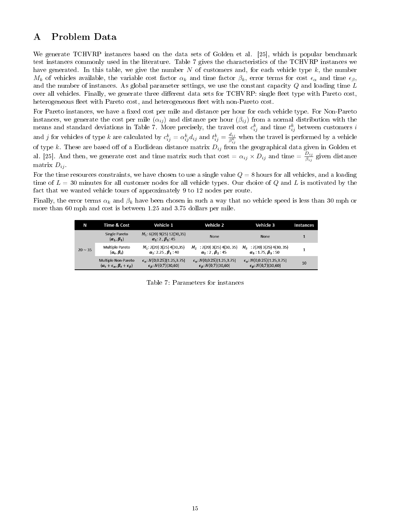# A Problem Data

We generate TCHVRP instances based on the data sets of Golden et al. [25], which is popular benchmark test instances commonly used in the literature. Table 7 gives the characteristics of the TCHVRP instances we have generated. In this table, we give the number N of customers and, for each vehicle type  $k$ , the number  $M_k$  of vehicles available, the variable cost factor  $\alpha_k$  and time factor  $\beta_k$ , error terms for cost  $\epsilon_{\alpha}$  and time  $\epsilon_{\beta}$ , and the number of instances. As global parameter settings, we use the constant capacity Q and loading time L over all vehicles. Finally, we generate three different data sets for TCHVRP: single fleet type with Pareto cost, heterogeneous fleet with Pareto cost, and heterogeneous fleet with non-Pareto cost.

For Pareto instances, we have a fixed cost per mile and distance per hour for each vehicle type. For Non-Pareto instances, we generate the cost per mile  $(\alpha_{ij})$  and distance per hour  $(\beta_{ij})$  from a normal distribution with the means and standard deviations in Table 7. More precisely, the travel cost  $c_{ij}^k$  and time  $t_{ij}^k$  between customers  $i$ and  $j$  for vehicles of type  $k$  are calculated by  $c_{ij}^k = \alpha_{ij}^k d_{ij}$  and  $t_{ij}^k = \frac{d_{ij}}{\beta^k}$  $\frac{a_{ij}}{\beta_{kj}^k}$  when the travel is performed by a vehicle of type  $k$ . These are based off of a Euclidean distance matrix  $D_{ij}$  from the geographical data given in Golden et al. [25]. And then, we generate cost and time matrix such that cost =  $\alpha_{ij} \times D_{ij}$  and time =  $\frac{D_{ij}}{\beta_{ij}}$  given distance matrix  $D_{ij}$ .

For the time resources constraints, we have chosen to use a single value  $Q = 8$  hours for all vehicles, and a loading time of  $L = 30$  minutes for all customer nodes for all vehicle types. Our choice of Q and L is motivated by the fact that we wanted vehicle tours of approximately 9 to 12 nodes per route.

Finally, the error terms  $\alpha_k$  and  $\beta_k$  have been chosen in such a way that no vehicle speed is less than 30 mph or more than 60 mph and cost is between 1.25 and 3.75 dollars per mile.

| N            | Time & Cost                                                                            | Vehicle 1                                                                        | Vehicle 2                                                                        | Vehicle 3                                                                        | <b>Instances</b> |
|--------------|----------------------------------------------------------------------------------------|----------------------------------------------------------------------------------|----------------------------------------------------------------------------------|----------------------------------------------------------------------------------|------------------|
|              | <b>Single Pareto</b><br>$(\alpha_1, \beta_1)$                                          | $M_1$ : 6(20) 9(25) 12(30,35)<br>$\alpha_1$ : 2, $\beta_1$ : 45                  | <b>None</b>                                                                      | <b>None</b>                                                                      |                  |
| $20 \sim 35$ | Multiple Pareto<br>$(\alpha_t, \beta_t)$                                               | $M_1$ : 2(20) 3(25) 4(30,35)<br>$\alpha_1$ : 2.25, $\beta_1$ : 40                | $M2$ : 2(20) 3(25) 4(30, 35)<br>$\alpha_2$ : 2, $\beta_2$ : 45                   | $M_3$ : 2(20) 3(25) 4(30, 35)<br>$\alpha_3$ : 1.75, $\beta_3$ : 50               |                  |
|              | <b>Multiple Non-Pareto</b><br>$(\alpha_t + \epsilon_\alpha, \beta_t + \epsilon_\beta)$ | $\epsilon_{\alpha}$ : N(0,0.25)[1.25,3.75]<br>$\epsilon_{\beta}$ : N(0,7)[30,60] | $\epsilon_{\alpha}$ : N(0,0.25)[1.25,3.75]<br>$\epsilon_{\beta}$ : N(0,7)[30,60] | $\epsilon_{\alpha}$ : N(0,0.25)[1.25,3.75]<br>$\epsilon_{\beta}$ : N(0,7)[30,60] | 10               |

Table 7: Parameters for instances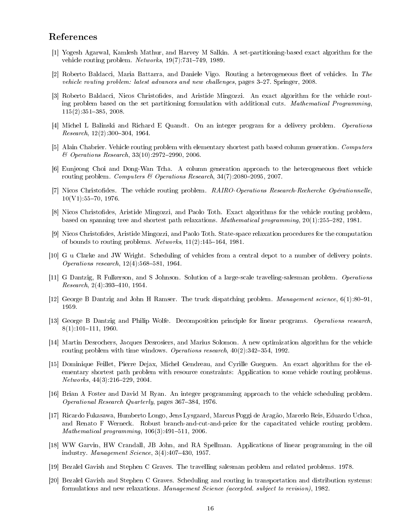# References

- [1] Yogesh Agarwal, Kamlesh Mathur, and Harvey M Salkin. A set-partitioning-based exact algorithm for the vehicle routing problem. *Networks*,  $19(7)$ : 731-749, 1989.
- [2] Roberto Baldacci, Maria Battarra, and Daniele Vigo. Routing a heterogeneous fleet of vehicles. In The vehicle routing problem: latest advances and new challenges, pages 3–27. Springer, 2008.
- [3] Roberto Baldacci, Nicos Christodes, and Aristide Mingozzi. An exact algorithm for the vehicle routing problem based on the set partitioning formulation with additional cuts. Mathematical Programming,  $115(2)$ : 351-385, 2008.
- [4] Michel L Balinski and Richard E Quandt. On an integer program for a delivery problem. Operations  $Research, 12(2):300-304, 1964.$
- [5] Alain Chabrier. Vehicle routing problem with elementary shortest path based column generation. Computers  $\&$  Operations Research, 33(10):2972-2990, 2006.
- [6] Eunjeong Choi and Dong-Wan Tcha. A column generation approach to the heterogeneous fleet vehicle routing problem. Computers & Operations Research,  $34(7):2080-2095$ , 2007.
- [7] Nicos Christodes. The vehicle routing problem. RAIRO-Operations Research-Recherche Opérationnelle,  $10(V1):55–70, 1976.$
- [8] Nicos Christodes, Aristide Mingozzi, and Paolo Toth. Exact algorithms for the vehicle routing problem, based on spanning tree and shortest path relaxations. *Mathematical programming*,  $20(1):255-282$ , 1981.
- [9] Nicos Christodes, Aristide Mingozzi, and Paolo Toth. State-space relaxation procedures for the computation of bounds to routing problems. *Networks*,  $11(2):145-164$ , 1981.
- [10] G u Clarke and JW Wright. Scheduling of vehicles from a central depot to a number of delivery points. *Operations research*,  $12(4)$ : 568–581, 1964.
- [11] G Dantzig, R Fulkerson, and S Johnson. Solution of a large-scale traveling-salesman problem. Operations  $Research, 2(4):393-410, 1954.$
- [12] George B Dantzig and John H Ramser. The truck dispatching problem. Management science, 6(1):80–91, 1959.
- [13] George B Dantzig and Philip Wolfe. Decomposition principle for linear programs. Operations research,  $8(1):101-111$ , 1960.
- [14] Martin Desrochers, Jacques Desrosiers, and Marius Solomon. A new optimization algorithm for the vehicle routing problem with time windows. *Operations research*,  $40(2):342-354$ , 1992.
- [15] Dominique Feillet, Pierre Dejax, Michel Gendreau, and Cyrille Gueguen. An exact algorithm for the elementary shortest path problem with resource constraints: Application to some vehicle routing problems.  $Networks, 44(3): 216–229, 2004.$
- [16] Brian A Foster and David M Ryan. An integer programming approach to the vehicle scheduling problem. Operational Research Quarterly, pages 367–384, 1976.
- [17] Ricardo Fukasawa, Humberto Longo, Jens Lysgaard, Marcus Poggi de Aragão, Marcelo Reis, Eduardo Uchoa, and Renato F Werneck. Robust branch-and-cut-and-price for the capacitated vehicle routing problem. Mathematical programming,  $106(3)$ : 491-511, 2006.
- [18] WW Garvin, HW Crandall, JB John, and RA Spellman. Applications of linear programming in the oil industry. Management Science,  $3(4)$ : $407-430$ , 1957.
- [19] Bezalel Gavish and Stephen C Graves. The travelling salesman problem and related problems. 1978.
- [20] Bezalel Gavish and Stephen C Graves. Scheduling and routing in transportation and distribution systems: formulations and new relaxations. Management Science (accepted. subject to revision), 1982.